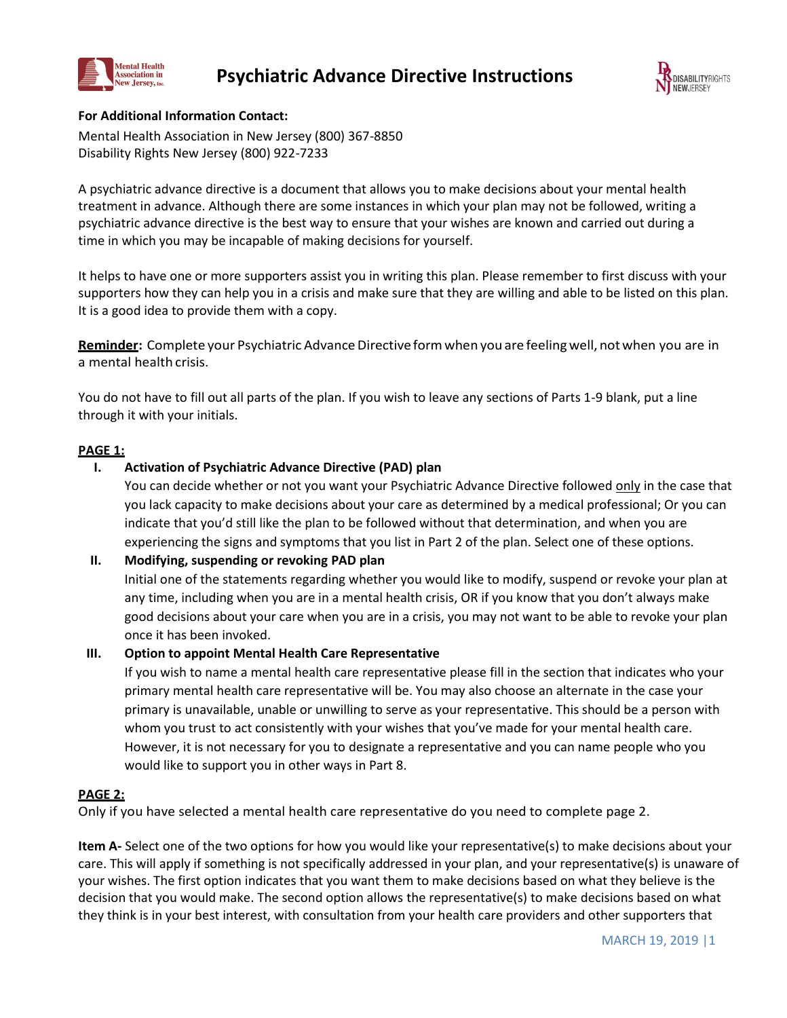



## **For Additional Information Contact:**

Mental Health Association in New Jersey (800) 367-8850 Disability Rights New Jersey (800) 922-7233

A psychiatric advance directive is a document that allows you to make decisions about your mental health treatment in advance. Although there are some instances in which your plan may not be followed, writing a psychiatric advance directive is the best way to ensure that your wishes are known and carried out during a time in which you may be incapable of making decisions for yourself.

It helps to have one or more supporters assist you in writing this plan. Please remember to first discuss with your supporters how they can help you in a crisis and make sure that they are willing and able to be listed on this plan. It is a good idea to provide them with a copy.

Reminder: Complete your Psychiatric Advance Directive form when you are feeling well, not when you are in a mental health crisis.

You do not have to fill out all parts of the plan. If you wish to leave any sections of Parts 1-9 blank, put a line through it with your initials.

## **PAGE 1:**

# **I. Activation of Psychiatric Advance Directive (PAD) plan**

You can decide whether or not you want your Psychiatric Advance Directive followed only in the case that you lack capacity to make decisions about your care as determined by a medical professional; Or you can indicate that you'd still like the plan to be followed without that determination, and when you are experiencing the signs and symptoms that you list in Part 2 of the plan. Select one of these options.

## **II. Modifying, suspending or revoking PAD plan**

Initial one of the statements regarding whether you would like to modify, suspend or revoke your plan at any time, including when you are in a mental health crisis, OR if you know that you don't always make good decisions about your care when you are in a crisis, you may not want to be able to revoke your plan once it has been invoked.

## **III. Option to appoint Mental Health Care Representative**

If you wish to name a mental health care representative please fill in the section that indicates who your primary mental health care representative will be. You may also choose an alternate in the case your primary is unavailable, unable or unwilling to serve as your representative. This should be a person with whom you trust to act consistently with your wishes that you've made for your mental health care. However, it is not necessary for you to designate a representative and you can name people who you would like to support you in other ways in Part 8.

## **PAGE 2:**

Only if you have selected a mental health care representative do you need to complete page 2.

**Item A-** Select one of the two options for how you would like your representative(s) to make decisions about your care. This will apply if something is not specifically addressed in your plan, and your representative(s) is unaware of your wishes. The first option indicates that you want them to make decisions based on what they believe is the decision that you would make. The second option allows the representative(s) to make decisions based on what they think is in your best interest, with consultation from your health care providers and other supporters that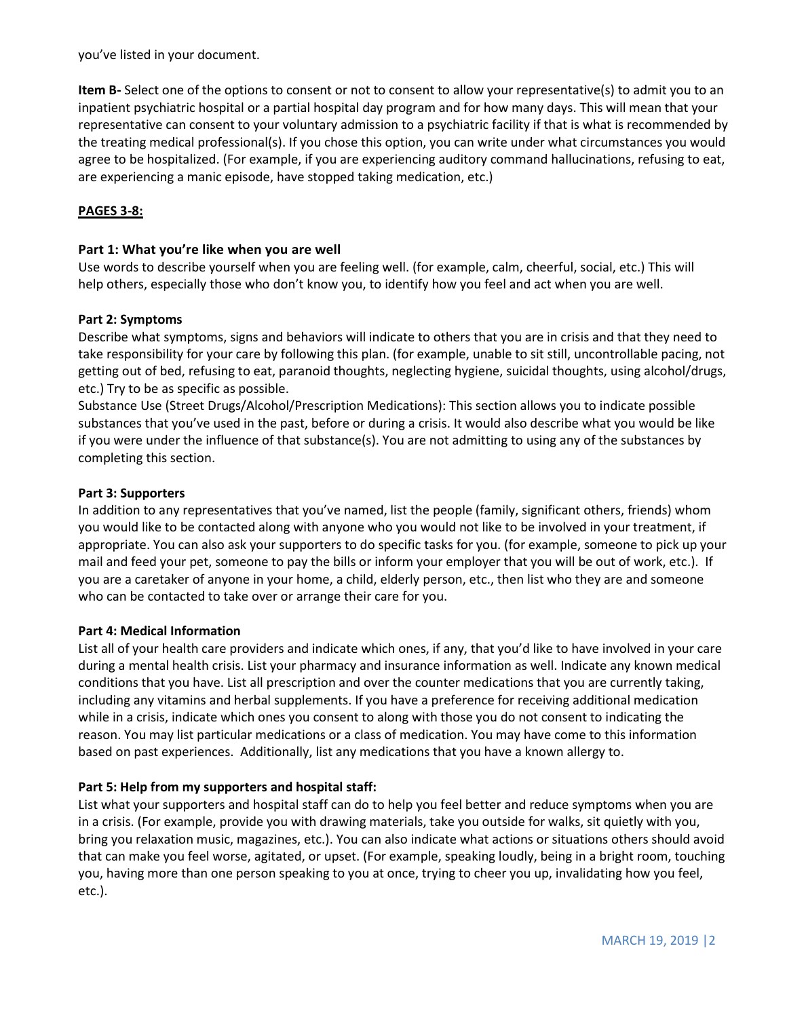you've listed in your document.

**Item B-** Select one of the options to consent or not to consent to allow your representative(s) to admit you to an inpatient psychiatric hospital or a partial hospital day program and for how many days. This will mean that your representative can consent to your voluntary admission to a psychiatric facility if that is what is recommended by the treating medical professional(s). If you chose this option, you can write under what circumstances you would agree to be hospitalized. (For example, if you are experiencing auditory command hallucinations, refusing to eat, are experiencing a manic episode, have stopped taking medication, etc.)

# **PAGES 3-8:**

### **Part 1: What you're like when you are well**

Use words to describe yourself when you are feeling well. (for example, calm, cheerful, social, etc.) This will help others, especially those who don't know you, to identify how you feel and act when you are well.

#### **Part 2: Symptoms**

Describe what symptoms, signs and behaviors will indicate to others that you are in crisis and that they need to take responsibility for your care by following this plan. (for example, unable to sit still, uncontrollable pacing, not getting out of bed, refusing to eat, paranoid thoughts, neglecting hygiene, suicidal thoughts, using alcohol/drugs, etc.) Try to be as specific as possible.

Substance Use (Street Drugs/Alcohol/Prescription Medications): This section allows you to indicate possible substances that you've used in the past, before or during a crisis. It would also describe what you would be like if you were under the influence of that substance(s). You are not admitting to using any of the substances by completing this section.

#### **Part 3: Supporters**

In addition to any representatives that you've named, list the people (family, significant others, friends) whom you would like to be contacted along with anyone who you would not like to be involved in your treatment, if appropriate. You can also ask your supporters to do specific tasks for you. (for example, someone to pick up your mail and feed your pet, someone to pay the bills or inform your employer that you will be out of work, etc.). If you are a caretaker of anyone in your home, a child, elderly person, etc., then list who they are and someone who can be contacted to take over or arrange their care for you.

#### **Part 4: Medical Information**

List all of your health care providers and indicate which ones, if any, that you'd like to have involved in your care during a mental health crisis. List your pharmacy and insurance information as well. Indicate any known medical conditions that you have. List all prescription and over the counter medications that you are currently taking, including any vitamins and herbal supplements. If you have a preference for receiving additional medication while in a crisis, indicate which ones you consent to along with those you do not consent to indicating the reason. You may list particular medications or a class of medication. You may have come to this information based on past experiences. Additionally, list any medications that you have a known allergy to.

## **Part 5: Help from my supporters and hospital staff:**

List what your supporters and hospital staff can do to help you feel better and reduce symptoms when you are in a crisis. (For example, provide you with drawing materials, take you outside for walks, sit quietly with you, bring you relaxation music, magazines, etc.). You can also indicate what actions or situations others should avoid that can make you feel worse, agitated, or upset. (For example, speaking loudly, being in a bright room, touching you, having more than one person speaking to you at once, trying to cheer you up, invalidating how you feel, etc.).